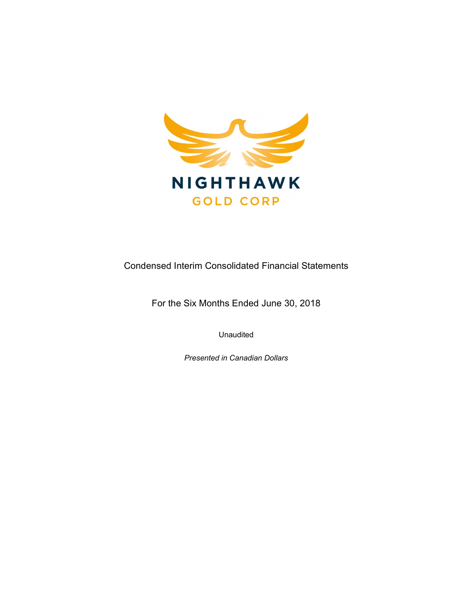

Condensed Interim Consolidated Financial Statements

For the Six Months Ended June 30, 2018

Unaudited

Presented in Canadian Dollars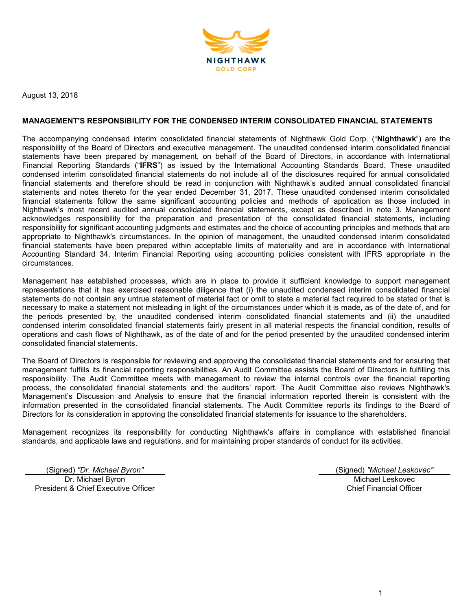

August 13, 2018

#### MANAGEMENT'S RESPONSIBILITY FOR THE CONDENSED INTERIM CONSOLIDATED FINANCIAL STATEMENTS

The accompanying condensed interim consolidated financial statements of Nighthawk Gold Corp. ("Nighthawk") are the responsibility of the Board of Directors and executive management. The unaudited condensed interim consolidated financial statements have been prepared by management, on behalf of the Board of Directors, in accordance with International Financial Reporting Standards ("IFRS") as issued by the International Accounting Standards Board. These unaudited condensed interim consolidated financial statements do not include all of the disclosures required for annual consolidated financial statements and therefore should be read in conjunction with Nighthawk's audited annual consolidated financial statements and notes thereto for the year ended December 31, 2017. These unaudited condensed interim consolidated financial statements follow the same significant accounting policies and methods of application as those included in Nighthawk's most recent audited annual consolidated financial statements, except as described in note 3. Management acknowledges responsibility for the preparation and presentation of the consolidated financial statements, including responsibility for significant accounting judgments and estimates and the choice of accounting principles and methods that are appropriate to Nighthawk's circumstances. In the opinion of management, the unaudited condensed interim consolidated financial statements have been prepared within acceptable limits of materiality and are in accordance with International Accounting Standard 34, Interim Financial Reporting using accounting policies consistent with IFRS appropriate in the circumstances.

Management has established processes, which are in place to provide it sufficient knowledge to support management representations that it has exercised reasonable diligence that (i) the unaudited condensed interim consolidated financial statements do not contain any untrue statement of material fact or omit to state a material fact required to be stated or that is necessary to make a statement not misleading in light of the circumstances under which it is made, as of the date of, and for the periods presented by, the unaudited condensed interim consolidated financial statements and (ii) the unaudited condensed interim consolidated financial statements fairly present in all material respects the financial condition, results of operations and cash flows of Nighthawk, as of the date of and for the period presented by the unaudited condensed interim consolidated financial statements.

The Board of Directors is responsible for reviewing and approving the consolidated financial statements and for ensuring that management fulfills its financial reporting responsibilities. An Audit Committee assists the Board of Directors in fulfilling this responsibility. The Audit Committee meets with management to review the internal controls over the financial reporting process, the consolidated financial statements and the auditors' report. The Audit Committee also reviews Nighthawk's Management's Discussion and Analysis to ensure that the financial information reported therein is consistent with the information presented in the consolidated financial statements. The Audit Committee reports its findings to the Board of Directors for its consideration in approving the consolidated financial statements for issuance to the shareholders.

Management recognizes its responsibility for conducting Nighthawk's affairs in compliance with established financial standards, and applicable laws and regulations, and for maintaining proper standards of conduct for its activities.

(Signed) "Dr. Michael Byron" (Signed) "Michael Leskovec" Dr. Michael Byron President & Chief Executive Officer

Michael Leskovec Chief Financial Officer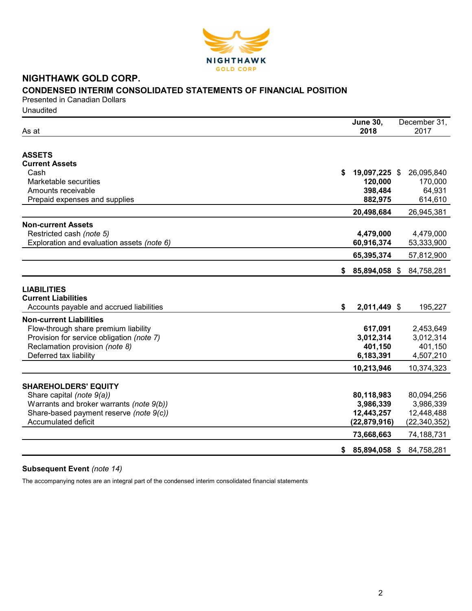

# NIGHTHAWK GOLD CORP. CONDENSED INTERIM CONSOLIDATED STATEMENTS OF FINANCIAL POSITION

Presented in Canadian Dollars Unaudited

| As at                                                                                        | <b>June 30,</b><br>2018 | December 31,<br>2017    |
|----------------------------------------------------------------------------------------------|-------------------------|-------------------------|
|                                                                                              |                         |                         |
| <b>ASSETS</b>                                                                                |                         |                         |
| <b>Current Assets</b>                                                                        |                         |                         |
| Cash                                                                                         | 19,097,225 \$<br>\$     | 26,095,840              |
| Marketable securities                                                                        | 120,000                 | 170,000                 |
| Amounts receivable                                                                           | 398,484                 | 64,931                  |
| Prepaid expenses and supplies                                                                | 882,975                 | 614,610                 |
|                                                                                              | 20,498,684              | 26,945,381              |
| <b>Non-current Assets</b>                                                                    |                         |                         |
| Restricted cash (note 5)                                                                     | 4,479,000               | 4,479,000               |
| Exploration and evaluation assets (note 6)                                                   | 60,916,374              | 53,333,900              |
|                                                                                              | 65,395,374              | 57,812,900              |
|                                                                                              | 85,894,058 \$<br>S.     | 84,758,281              |
| <b>LIABILITIES</b><br><b>Current Liabilities</b><br>Accounts payable and accrued liabilities | 2,011,449 \$<br>\$      | 195,227                 |
| <b>Non-current Liabilities</b>                                                               |                         |                         |
| Flow-through share premium liability                                                         | 617,091                 | 2,453,649               |
| Provision for service obligation (note 7)                                                    | 3,012,314               | 3,012,314               |
| Reclamation provision (note 8)                                                               | 401,150                 | 401,150                 |
| Deferred tax liability                                                                       | 6,183,391               | 4,507,210               |
|                                                                                              | 10,213,946              | 10,374,323              |
|                                                                                              |                         |                         |
| <b>SHAREHOLDERS' EQUITY</b>                                                                  |                         |                         |
| Share capital (note 9(a))                                                                    | 80,118,983              | 80,094,256              |
| Warrants and broker warrants (note 9(b))<br>Share-based payment reserve (note 9(c))          | 3,986,339<br>12,443,257 | 3,986,339<br>12,448,488 |
| <b>Accumulated deficit</b>                                                                   | (22, 879, 916)          | (22, 340, 352)          |
|                                                                                              | 73,668,663              | 74,188,731              |
|                                                                                              |                         |                         |
|                                                                                              | 85,894,058 \$<br>\$     | 84,758,281              |

# Subsequent Event (note 14)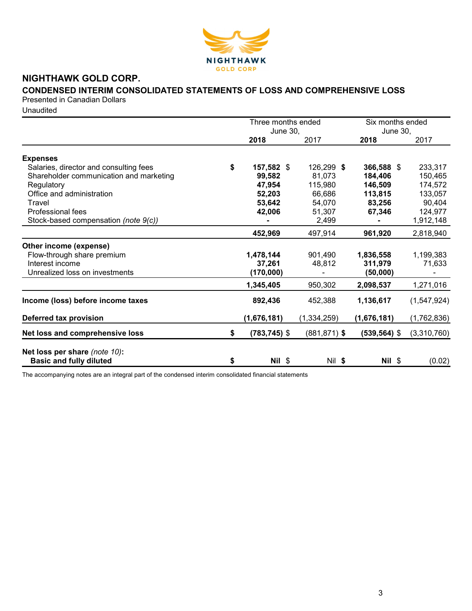

# NIGHTHAWK GOLD CORP.

# CONDENSED INTERIM CONSOLIDATED STATEMENTS OF LOSS AND COMPREHENSIVE LOSS

Presented in Canadian Dollars

**Unaudited** 

| June 30,<br><b>June 30,</b><br>2017<br>2017<br>2018<br>2018<br><b>Expenses</b><br>\$<br>126,299 \$<br>233,317<br>Salaries, director and consulting fees<br>157,582 \$<br>366,588 \$<br>Shareholder communication and marketing<br>81,073<br>99,582<br>184,406<br>150,465<br>115,980<br>146,509<br>174,572<br>Regulatory<br>47,954<br>Office and administration<br>52,203<br>66,686<br>113,815<br>133,057<br>53,642<br>54,070<br>83,256<br>90,404<br>Travel<br>42,006<br>124,977<br>Professional fees<br>51,307<br>67,346<br>1,912,148<br>Stock-based compensation (note 9(c))<br>2,499<br>452,969<br>497,914<br>961,920<br>2,818,940<br>Other income (expense)<br>1,478,144<br>1,836,558<br>1,199,383<br>Flow-through share premium<br>901,490<br>Interest income<br>37,261<br>48,812<br>311,979<br>71,633<br>Unrealized loss on investments<br>(170,000)<br>(50,000)<br>1,345,405<br>950,302<br>2,098,537<br>1,271,016<br>892,436<br>Income (loss) before income taxes<br>452,388<br>1,136,617<br>Deferred tax provision<br>(1,676,181)<br>(1,334,259)<br>(1,676,181)<br>Net loss and comprehensive loss<br>$(783, 745)$ \$<br>$(881, 871)$ \$<br>\$<br>$(539, 564)$ \$ |  | Three months ended |  | Six months ended |  |
|--------------------------------------------------------------------------------------------------------------------------------------------------------------------------------------------------------------------------------------------------------------------------------------------------------------------------------------------------------------------------------------------------------------------------------------------------------------------------------------------------------------------------------------------------------------------------------------------------------------------------------------------------------------------------------------------------------------------------------------------------------------------------------------------------------------------------------------------------------------------------------------------------------------------------------------------------------------------------------------------------------------------------------------------------------------------------------------------------------------------------------------------------------------------------|--|--------------------|--|------------------|--|
|                                                                                                                                                                                                                                                                                                                                                                                                                                                                                                                                                                                                                                                                                                                                                                                                                                                                                                                                                                                                                                                                                                                                                                          |  |                    |  |                  |  |
|                                                                                                                                                                                                                                                                                                                                                                                                                                                                                                                                                                                                                                                                                                                                                                                                                                                                                                                                                                                                                                                                                                                                                                          |  |                    |  |                  |  |
|                                                                                                                                                                                                                                                                                                                                                                                                                                                                                                                                                                                                                                                                                                                                                                                                                                                                                                                                                                                                                                                                                                                                                                          |  |                    |  |                  |  |
|                                                                                                                                                                                                                                                                                                                                                                                                                                                                                                                                                                                                                                                                                                                                                                                                                                                                                                                                                                                                                                                                                                                                                                          |  |                    |  |                  |  |
| (1,547,924)<br>(1,762,836)<br>(3,310,760)                                                                                                                                                                                                                                                                                                                                                                                                                                                                                                                                                                                                                                                                                                                                                                                                                                                                                                                                                                                                                                                                                                                                |  |                    |  |                  |  |
|                                                                                                                                                                                                                                                                                                                                                                                                                                                                                                                                                                                                                                                                                                                                                                                                                                                                                                                                                                                                                                                                                                                                                                          |  |                    |  |                  |  |
|                                                                                                                                                                                                                                                                                                                                                                                                                                                                                                                                                                                                                                                                                                                                                                                                                                                                                                                                                                                                                                                                                                                                                                          |  |                    |  |                  |  |
|                                                                                                                                                                                                                                                                                                                                                                                                                                                                                                                                                                                                                                                                                                                                                                                                                                                                                                                                                                                                                                                                                                                                                                          |  |                    |  |                  |  |
|                                                                                                                                                                                                                                                                                                                                                                                                                                                                                                                                                                                                                                                                                                                                                                                                                                                                                                                                                                                                                                                                                                                                                                          |  |                    |  |                  |  |
|                                                                                                                                                                                                                                                                                                                                                                                                                                                                                                                                                                                                                                                                                                                                                                                                                                                                                                                                                                                                                                                                                                                                                                          |  |                    |  |                  |  |
|                                                                                                                                                                                                                                                                                                                                                                                                                                                                                                                                                                                                                                                                                                                                                                                                                                                                                                                                                                                                                                                                                                                                                                          |  |                    |  |                  |  |
|                                                                                                                                                                                                                                                                                                                                                                                                                                                                                                                                                                                                                                                                                                                                                                                                                                                                                                                                                                                                                                                                                                                                                                          |  |                    |  |                  |  |
|                                                                                                                                                                                                                                                                                                                                                                                                                                                                                                                                                                                                                                                                                                                                                                                                                                                                                                                                                                                                                                                                                                                                                                          |  |                    |  |                  |  |
|                                                                                                                                                                                                                                                                                                                                                                                                                                                                                                                                                                                                                                                                                                                                                                                                                                                                                                                                                                                                                                                                                                                                                                          |  |                    |  |                  |  |
|                                                                                                                                                                                                                                                                                                                                                                                                                                                                                                                                                                                                                                                                                                                                                                                                                                                                                                                                                                                                                                                                                                                                                                          |  |                    |  |                  |  |
|                                                                                                                                                                                                                                                                                                                                                                                                                                                                                                                                                                                                                                                                                                                                                                                                                                                                                                                                                                                                                                                                                                                                                                          |  |                    |  |                  |  |
|                                                                                                                                                                                                                                                                                                                                                                                                                                                                                                                                                                                                                                                                                                                                                                                                                                                                                                                                                                                                                                                                                                                                                                          |  |                    |  |                  |  |
|                                                                                                                                                                                                                                                                                                                                                                                                                                                                                                                                                                                                                                                                                                                                                                                                                                                                                                                                                                                                                                                                                                                                                                          |  |                    |  |                  |  |
|                                                                                                                                                                                                                                                                                                                                                                                                                                                                                                                                                                                                                                                                                                                                                                                                                                                                                                                                                                                                                                                                                                                                                                          |  |                    |  |                  |  |
|                                                                                                                                                                                                                                                                                                                                                                                                                                                                                                                                                                                                                                                                                                                                                                                                                                                                                                                                                                                                                                                                                                                                                                          |  |                    |  |                  |  |
| Net loss per share (note 10):                                                                                                                                                                                                                                                                                                                                                                                                                                                                                                                                                                                                                                                                                                                                                                                                                                                                                                                                                                                                                                                                                                                                            |  |                    |  |                  |  |
| <b>Basic and fully diluted</b><br>$Nil$ \$<br>$Nil$ \$<br>\$<br>Nil \$<br>(0.02)                                                                                                                                                                                                                                                                                                                                                                                                                                                                                                                                                                                                                                                                                                                                                                                                                                                                                                                                                                                                                                                                                         |  |                    |  |                  |  |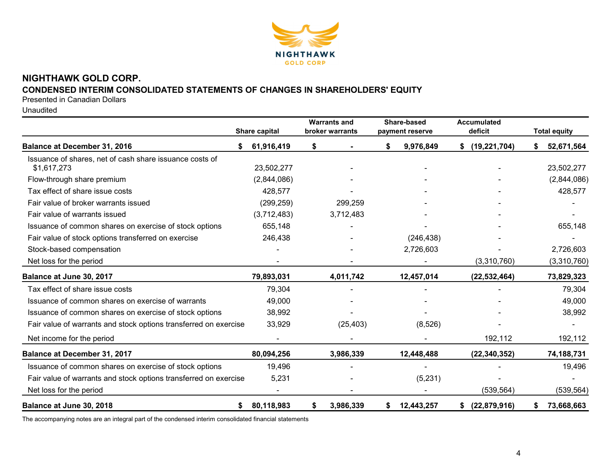

# NIGHTHAWK GOLD CORP.

# CONDENSED INTERIM CONSOLIDATED STATEMENTS OF CHANGES IN SHAREHOLDERS' EQUITY

Presented in Canadian Dollars

Unaudited

|                                                                        | Share capital | <b>Warrants and</b><br>broker warrants | Share-based<br>payment reserve | <b>Accumulated</b><br>deficit | <b>Total equity</b> |
|------------------------------------------------------------------------|---------------|----------------------------------------|--------------------------------|-------------------------------|---------------------|
| <b>Balance at December 31, 2016</b>                                    | 61,916,419    | \$                                     | \$<br>9,976,849                | (19, 221, 704)<br>S.          | 52,671,564          |
| Issuance of shares, net of cash share issuance costs of<br>\$1,617,273 | 23,502,277    |                                        |                                |                               | 23,502,277          |
| Flow-through share premium                                             | (2,844,086)   |                                        |                                |                               | (2,844,086)         |
| Tax effect of share issue costs                                        | 428,577       |                                        |                                |                               | 428,577             |
| Fair value of broker warrants issued                                   | (299, 259)    | 299,259                                |                                |                               |                     |
| Fair value of warrants issued                                          | (3,712,483)   | 3,712,483                              |                                |                               |                     |
| Issuance of common shares on exercise of stock options                 | 655,148       |                                        |                                |                               | 655,148             |
| Fair value of stock options transferred on exercise                    | 246,438       |                                        | (246, 438)                     |                               |                     |
| Stock-based compensation                                               |               |                                        | 2,726,603                      |                               | 2,726,603           |
| Net loss for the period                                                |               |                                        |                                | (3,310,760)                   | (3,310,760)         |
| Balance at June 30, 2017                                               | 79,893,031    | 4,011,742                              | 12,457,014                     | (22, 532, 464)                | 73,829,323          |
| Tax effect of share issue costs                                        | 79,304        |                                        |                                |                               | 79,304              |
| Issuance of common shares on exercise of warrants                      | 49,000        |                                        |                                |                               | 49,000              |
| Issuance of common shares on exercise of stock options                 | 38,992        |                                        |                                |                               | 38,992              |
| Fair value of warrants and stock options transferred on exercise       | 33,929        | (25, 403)                              | (8,526)                        |                               |                     |
| Net income for the period                                              |               |                                        |                                | 192,112                       | 192,112             |
| Balance at December 31, 2017                                           | 80,094,256    | 3,986,339                              | 12,448,488                     | (22, 340, 352)                | 74,188,731          |
| Issuance of common shares on exercise of stock options                 | 19,496        |                                        |                                |                               | 19,496              |
| Fair value of warrants and stock options transferred on exercise       | 5,231         |                                        | (5,231)                        |                               |                     |
| Net loss for the period                                                |               |                                        |                                | (539, 564)                    | (539, 564)          |
| Balance at June 30, 2018<br>\$                                         | 80,118,983    | \$<br>3,986,339                        | 12,443,257<br>\$               | (22,879,916)<br>\$            | 73,668,663<br>\$    |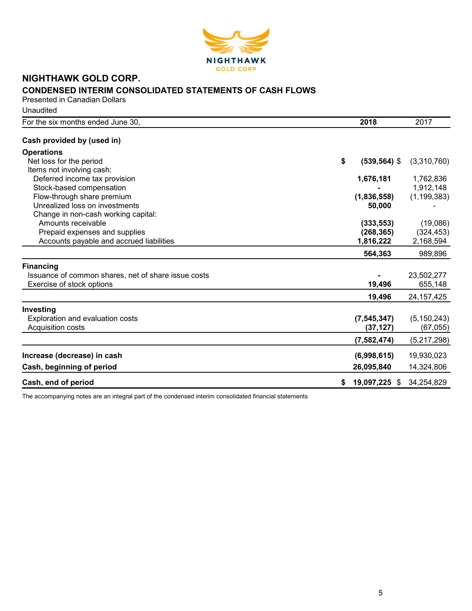

# NIGHTHAWK GOLD CORP. CONDENSED INTERIM CONSOLIDATED STATEMENTS OF CASH FLOWS

Presented in Canadian Dollars **Unaudited** 

| For the six months ended June 30,                   | 2018                  | 2017          |
|-----------------------------------------------------|-----------------------|---------------|
| Cash provided by (used in)                          |                       |               |
| <b>Operations</b>                                   |                       |               |
| Net loss for the period                             | \$<br>$(539, 564)$ \$ | (3,310,760)   |
| Items not involving cash:                           |                       |               |
| Deferred income tax provision                       | 1,676,181             | 1,762,836     |
| Stock-based compensation                            |                       | 1,912,148     |
| Flow-through share premium                          | (1,836,558)           | (1, 199, 383) |
| Unrealized loss on investments                      | 50,000                |               |
| Change in non-cash working capital:                 |                       |               |
| Amounts receivable                                  | (333, 553)            | (19,086)      |
| Prepaid expenses and supplies                       | (268, 365)            | (324, 453)    |
| Accounts payable and accrued liabilities            | 1,816,222             | 2,168,594     |
|                                                     | 564,363               | 989,896       |
| <b>Financing</b>                                    |                       |               |
| Issuance of common shares, net of share issue costs |                       | 23,502,277    |
| Exercise of stock options                           | 19,496                | 655,148       |
|                                                     | 19,496                | 24, 157, 425  |
| Investing                                           |                       |               |
| Exploration and evaluation costs                    | (7, 545, 347)         | (5, 150, 243) |
| Acquisition costs                                   | (37, 127)             | (67,055)      |
|                                                     | (7,582,474)           | (5,217,298)   |
| Increase (decrease) in cash                         | (6,998,615)           | 19,930,023    |
| Cash, beginning of period                           | 26,095,840            | 14,324,806    |
| Cash, end of period                                 | 19,097,225 \$<br>S.   | 34,254,829    |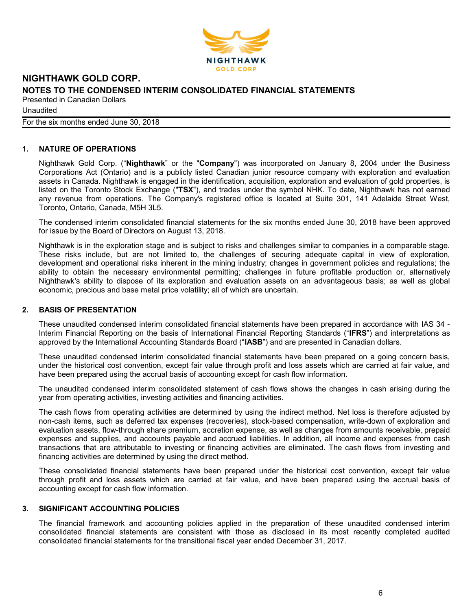

Unaudited

For the six months ended June 30, 2018

# 1. NATURE OF OPERATIONS

Nighthawk Gold Corp. ("Nighthawk" or the "Company") was incorporated on January 8, 2004 under the Business Corporations Act (Ontario) and is a publicly listed Canadian junior resource company with exploration and evaluation assets in Canada. Nighthawk is engaged in the identification, acquisition, exploration and evaluation of gold properties, is listed on the Toronto Stock Exchange ("TSX"), and trades under the symbol NHK. To date, Nighthawk has not earned any revenue from operations. The Company's registered office is located at Suite 301, 141 Adelaide Street West, Toronto, Ontario, Canada, M5H 3L5.

The condensed interim consolidated financial statements for the six months ended June 30, 2018 have been approved for issue by the Board of Directors on August 13, 2018.

Nighthawk is in the exploration stage and is subject to risks and challenges similar to companies in a comparable stage. These risks include, but are not limited to, the challenges of securing adequate capital in view of exploration, development and operational risks inherent in the mining industry; changes in government policies and regulations; the ability to obtain the necessary environmental permitting; challenges in future profitable production or, alternatively Nighthawk's ability to dispose of its exploration and evaluation assets on an advantageous basis; as well as global economic, precious and base metal price volatility; all of which are uncertain.

## 2. BASIS OF PRESENTATION

These unaudited condensed interim consolidated financial statements have been prepared in accordance with IAS 34 - Interim Financial Reporting on the basis of International Financial Reporting Standards ("IFRS") and interpretations as approved by the International Accounting Standards Board ("IASB") and are presented in Canadian dollars.

These unaudited condensed interim consolidated financial statements have been prepared on a going concern basis, under the historical cost convention, except fair value through profit and loss assets which are carried at fair value, and have been prepared using the accrual basis of accounting except for cash flow information.

The unaudited condensed interim consolidated statement of cash flows shows the changes in cash arising during the year from operating activities, investing activities and financing activities.

The cash flows from operating activities are determined by using the indirect method. Net loss is therefore adjusted by non-cash items, such as deferred tax expenses (recoveries), stock-based compensation, write-down of exploration and evaluation assets, flow-through share premium, accretion expense, as well as changes from amounts receivable, prepaid expenses and supplies, and accounts payable and accrued liabilities. In addition, all income and expenses from cash transactions that are attributable to investing or financing activities are eliminated. The cash flows from investing and financing activities are determined by using the direct method.

These consolidated financial statements have been prepared under the historical cost convention, except fair value through profit and loss assets which are carried at fair value, and have been prepared using the accrual basis of accounting except for cash flow information.

# 3. SIGNIFICANT ACCOUNTING POLICIES

The financial framework and accounting policies applied in the preparation of these unaudited condensed interim consolidated financial statements are consistent with those as disclosed in its most recently completed audited consolidated financial statements for the transitional fiscal year ended December 31, 2017.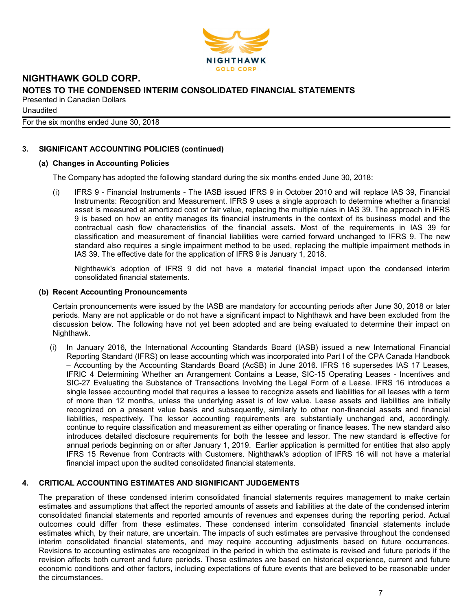

**Unaudited** 

For the six months ended June 30, 2018

### 3. SIGNIFICANT ACCOUNTING POLICIES (continued)

#### (a) Changes in Accounting Policies

The Company has adopted the following standard during the six months ended June 30, 2018:

(i) IFRS 9 - Financial Instruments - The IASB issued IFRS 9 in October 2010 and will replace IAS 39, Financial Instruments: Recognition and Measurement. IFRS 9 uses a single approach to determine whether a financial asset is measured at amortized cost or fair value, replacing the multiple rules in IAS 39. The approach in IFRS 9 is based on how an entity manages its financial instruments in the context of its business model and the contractual cash flow characteristics of the financial assets. Most of the requirements in IAS 39 for classification and measurement of financial liabilities were carried forward unchanged to IFRS 9. The new standard also requires a single impairment method to be used, replacing the multiple impairment methods in IAS 39. The effective date for the application of IFRS 9 is January 1, 2018.

Nighthawk's adoption of IFRS 9 did not have a material financial impact upon the condensed interim consolidated financial statements.

#### (b) Recent Accounting Pronouncements

Certain pronouncements were issued by the IASB are mandatory for accounting periods after June 30, 2018 or later periods. Many are not applicable or do not have a significant impact to Nighthawk and have been excluded from the discussion below. The following have not yet been adopted and are being evaluated to determine their impact on Nighthawk.

(i) In January 2016, the International Accounting Standards Board (IASB) issued a new International Financial Reporting Standard (IFRS) on lease accounting which was incorporated into Part I of the CPA Canada Handbook – Accounting by the Accounting Standards Board (AcSB) in June 2016. IFRS 16 supersedes IAS 17 Leases, IFRIC 4 Determining Whether an Arrangement Contains a Lease, SIC-15 Operating Leases - Incentives and SIC-27 Evaluating the Substance of Transactions Involving the Legal Form of a Lease. IFRS 16 introduces a single lessee accounting model that requires a lessee to recognize assets and liabilities for all leases with a term of more than 12 months, unless the underlying asset is of low value. Lease assets and liabilities are initially recognized on a present value basis and subsequently, similarly to other non-financial assets and financial liabilities, respectively. The lessor accounting requirements are substantially unchanged and, accordingly, continue to require classification and measurement as either operating or finance leases. The new standard also introduces detailed disclosure requirements for both the lessee and lessor. The new standard is effective for annual periods beginning on or after January 1, 2019. Earlier application is permitted for entities that also apply IFRS 15 Revenue from Contracts with Customers. Nighthawk's adoption of IFRS 16 will not have a material financial impact upon the audited consolidated financial statements.

#### 4. CRITICAL ACCOUNTING ESTIMATES AND SIGNIFICANT JUDGEMENTS

The preparation of these condensed interim consolidated financial statements requires management to make certain estimates and assumptions that affect the reported amounts of assets and liabilities at the date of the condensed interim consolidated financial statements and reported amounts of revenues and expenses during the reporting period. Actual outcomes could differ from these estimates. These condensed interim consolidated financial statements include estimates which, by their nature, are uncertain. The impacts of such estimates are pervasive throughout the condensed interim consolidated financial statements, and may require accounting adjustments based on future occurrences. Revisions to accounting estimates are recognized in the period in which the estimate is revised and future periods if the revision affects both current and future periods. These estimates are based on historical experience, current and future economic conditions and other factors, including expectations of future events that are believed to be reasonable under the circumstances.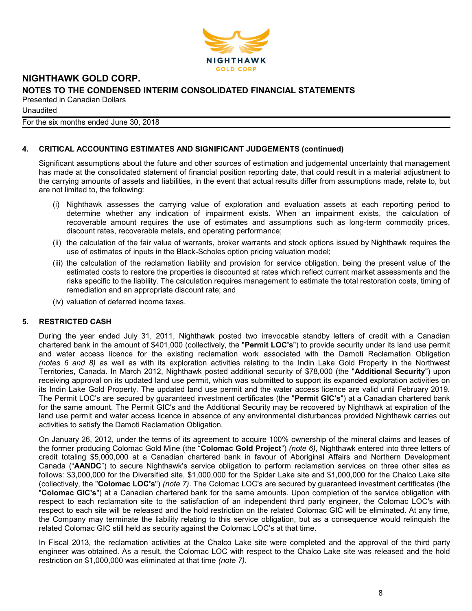

**Unaudited** 

For the six months ended June 30, 2018

# 4. CRITICAL ACCOUNTING ESTIMATES AND SIGNIFICANT JUDGEMENTS (continued)

Significant assumptions about the future and other sources of estimation and judgemental uncertainty that management has made at the consolidated statement of financial position reporting date, that could result in a material adjustment to the carrying amounts of assets and liabilities, in the event that actual results differ from assumptions made, relate to, but are not limited to, the following:

- (i) Nighthawk assesses the carrying value of exploration and evaluation assets at each reporting period to determine whether any indication of impairment exists. When an impairment exists, the calculation of recoverable amount requires the use of estimates and assumptions such as long-term commodity prices, discount rates, recoverable metals, and operating performance;
- (ii) the calculation of the fair value of warrants, broker warrants and stock options issued by Nighthawk requires the use of estimates of inputs in the Black-Scholes option pricing valuation model;
- (iii) the calculation of the reclamation liability and provision for service obligation, being the present value of the estimated costs to restore the properties is discounted at rates which reflect current market assessments and the risks specific to the liability. The calculation requires management to estimate the total restoration costs, timing of remediation and an appropriate discount rate; and
- (iv) valuation of deferred income taxes.

# 5. RESTRICTED CASH

During the year ended July 31, 2011, Nighthawk posted two irrevocable standby letters of credit with a Canadian chartered bank in the amount of \$401,000 (collectively, the "Permit LOC's") to provide security under its land use permit and water access licence for the existing reclamation work associated with the Damoti Reclamation Obligation (notes 6 and 8) as well as with its exploration activities relating to the Indin Lake Gold Property in the Northwest Territories, Canada. In March 2012, Nighthawk posted additional security of \$78,000 (the "Additional Security") upon receiving approval on its updated land use permit, which was submitted to support its expanded exploration activities on its Indin Lake Gold Property. The updated land use permit and the water access licence are valid until February 2019. The Permit LOC's are secured by guaranteed investment certificates (the "Permit GIC's") at a Canadian chartered bank for the same amount. The Permit GIC's and the Additional Security may be recovered by Nighthawk at expiration of the land use permit and water access licence in absence of any environmental disturbances provided Nighthawk carries out activities to satisfy the Damoti Reclamation Obligation.

On January 26, 2012, under the terms of its agreement to acquire 100% ownership of the mineral claims and leases of the former producing Colomac Gold Mine (the "Colomac Gold Project") (note 6), Nighthawk entered into three letters of credit totaling \$5,000,000 at a Canadian chartered bank in favour of Aboriginal Affairs and Northern Development Canada ("AANDC") to secure Nighthawk's service obligation to perform reclamation services on three other sites as follows: \$3,000,000 for the Diversified site, \$1,000,000 for the Spider Lake site and \$1,000,000 for the Chalco Lake site (collectively, the "Colomac LOC's") (note 7). The Colomac LOC's are secured by guaranteed investment certificates (the "Colomac GIC's") at a Canadian chartered bank for the same amounts. Upon completion of the service obligation with respect to each reclamation site to the satisfaction of an independent third party engineer, the Colomac LOC's with respect to each site will be released and the hold restriction on the related Colomac GIC will be eliminated. At any time, the Company may terminate the liability relating to this service obligation, but as a consequence would relinquish the related Colomac GIC still held as security against the Colomac LOC's at that time.

In Fiscal 2013, the reclamation activities at the Chalco Lake site were completed and the approval of the third party engineer was obtained. As a result, the Colomac LOC with respect to the Chalco Lake site was released and the hold restriction on \$1,000,000 was eliminated at that time (note 7).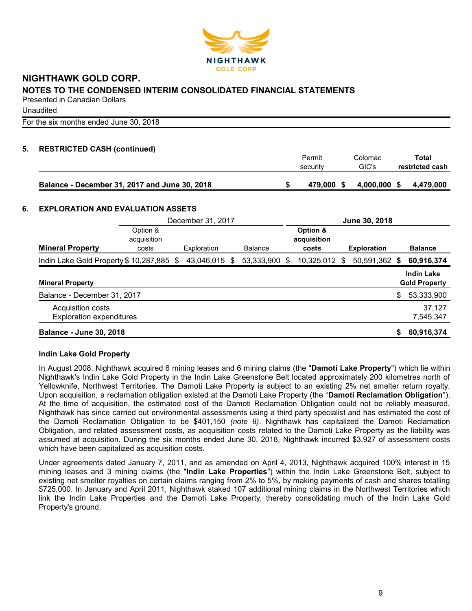

**Unaudited** 

For the six months ended June 30, 2018

# 5. RESTRICTED CASH (continued)

|                                               | Permit<br>security | Colomac<br>GIC's | Total<br>restricted cash |
|-----------------------------------------------|--------------------|------------------|--------------------------|
| Balance - December 31, 2017 and June 30, 2018 | 479.000 \$         | 4,000,000 \$     | 4.479.000                |

#### 6. EXPLORATION AND EVALUATION ASSETS

|                                                      | December 31, 2017                |  |             | June 30, 2018 |                |   |                                  |   |                    |    |                                           |
|------------------------------------------------------|----------------------------------|--|-------------|---------------|----------------|---|----------------------------------|---|--------------------|----|-------------------------------------------|
| <b>Mineral Property</b>                              | Option &<br>acquisition<br>costs |  | Exploration |               | <b>Balance</b> |   | Option &<br>acquisition<br>costs |   | <b>Exploration</b> |    | <b>Balance</b>                            |
| Indin Lake Gold Property \$10,287,885 \$             |                                  |  | 43,046,015  | S             | 53,333,900     | S | 10,325,012                       | S | 50,591,362         | -S | 60,916,374                                |
| <b>Mineral Property</b>                              |                                  |  |             |               |                |   |                                  |   |                    |    | <b>Indin Lake</b><br><b>Gold Property</b> |
| Balance - December 31, 2017                          |                                  |  |             |               |                |   |                                  |   |                    | \$ | 53,333,900                                |
| Acquisition costs<br><b>Exploration expenditures</b> |                                  |  |             |               |                |   |                                  |   |                    |    | 37,127<br>7,545,347                       |
| <b>Balance - June 30, 2018</b>                       |                                  |  |             |               |                |   |                                  |   |                    | S  | 60,916,374                                |

#### Indin Lake Gold Property

In August 2008, Nighthawk acquired 6 mining leases and 6 mining claims (the "Damoti Lake Property") which lie within Nighthawk's Indin Lake Gold Property in the Indin Lake Greenstone Belt located approximately 200 kilometres north of Yellowknife, Northwest Territories. The Damoti Lake Property is subject to an existing 2% net smelter return royalty. Upon acquisition, a reclamation obligation existed at the Damoti Lake Property (the "Damoti Reclamation Obligation"). At the time of acquisition, the estimated cost of the Damoti Reclamation Obligation could not be reliably measured. Nighthawk has since carried out environmental assessments using a third party specialist and has estimated the cost of the Damoti Reclamation Obligation to be \$401,150 (note 8). Nighthawk has capitalized the Damoti Reclamation Obligation, and related assessment costs, as acquisition costs related to the Damoti Lake Property as the liability was assumed at acquisition. During the six months ended June 30, 2018, Nighthawk incurred \$3,927 of assessment costs which have been capitalized as acquisition costs.

Under agreements dated January 7, 2011, and as amended on April 4, 2013, Nighthawk acquired 100% interest in 15 mining leases and 3 mining claims (the "Indin Lake Properties") within the Indin Lake Greenstone Belt, subject to existing net smelter royalties on certain claims ranging from 2% to 5%, by making payments of cash and shares totalling \$725,000. In January and April 2011, Nighthawk staked 107 additional mining claims in the Northwest Territories which link the Indin Lake Properties and the Damoti Lake Property, thereby consolidating much of the Indin Lake Gold Property's ground.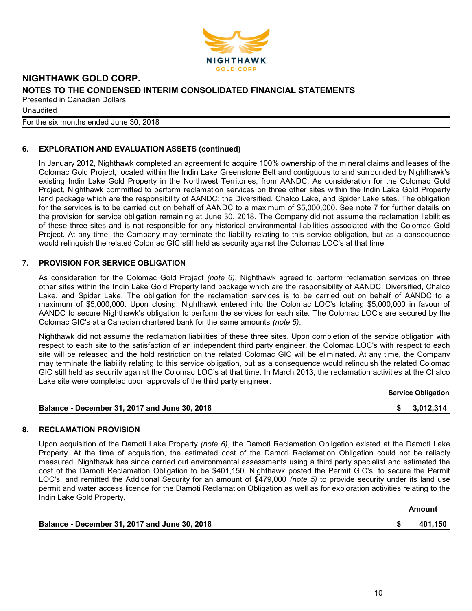

**Unaudited** 

For the six months ended June 30, 2018

# 6. EXPLORATION AND EVALUATION ASSETS (continued)

In January 2012, Nighthawk completed an agreement to acquire 100% ownership of the mineral claims and leases of the Colomac Gold Project, located within the Indin Lake Greenstone Belt and contiguous to and surrounded by Nighthawk's existing Indin Lake Gold Property in the Northwest Territories, from AANDC. As consideration for the Colomac Gold Project, Nighthawk committed to perform reclamation services on three other sites within the Indin Lake Gold Property land package which are the responsibility of AANDC: the Diversified, Chalco Lake, and Spider Lake sites. The obligation for the services is to be carried out on behalf of AANDC to a maximum of \$5,000,000. See note 7 for further details on the provision for service obligation remaining at June 30, 2018. The Company did not assume the reclamation liabilities of these three sites and is not responsible for any historical environmental liabilities associated with the Colomac Gold Project. At any time, the Company may terminate the liability relating to this service obligation, but as a consequence would relinquish the related Colomac GIC still held as security against the Colomac LOC's at that time.

# 7. PROVISION FOR SERVICE OBLIGATION

As consideration for the Colomac Gold Project (note 6), Nighthawk agreed to perform reclamation services on three other sites within the Indin Lake Gold Property land package which are the responsibility of AANDC: Diversified, Chalco Lake, and Spider Lake. The obligation for the reclamation services is to be carried out on behalf of AANDC to a maximum of \$5,000,000. Upon closing, Nighthawk entered into the Colomac LOC's totaling \$5,000,000 in favour of AANDC to secure Nighthawk's obligation to perform the services for each site. The Colomac LOC's are secured by the Colomac GIC's at a Canadian chartered bank for the same amounts (note 5).

Nighthawk did not assume the reclamation liabilities of these three sites. Upon completion of the service obligation with respect to each site to the satisfaction of an independent third party engineer, the Colomac LOC's with respect to each site will be released and the hold restriction on the related Colomac GIC will be eliminated. At any time, the Company may terminate the liability relating to this service obligation, but as a consequence would relinquish the related Colomac GIC still held as security against the Colomac LOC's at that time. In March 2013, the reclamation activities at the Chalco Lake site were completed upon approvals of the third party engineer.

| <b>Service Obligation</b> |
|---------------------------|
|                           |

| \$3,012,314<br>Balance - December 31, 2017 and June 30, 2018 |  |
|--------------------------------------------------------------|--|
|--------------------------------------------------------------|--|

#### 8. RECLAMATION PROVISION

Upon acquisition of the Damoti Lake Property (note 6), the Damoti Reclamation Obligation existed at the Damoti Lake Property. At the time of acquisition, the estimated cost of the Damoti Reclamation Obligation could not be reliably measured. Nighthawk has since carried out environmental assessments using a third party specialist and estimated the cost of the Damoti Reclamation Obligation to be \$401,150. Nighthawk posted the Permit GIC's, to secure the Permit LOC's, and remitted the Additional Security for an amount of \$479,000 (note 5) to provide security under its land use permit and water access licence for the Damoti Reclamation Obligation as well as for exploration activities relating to the Indin Lake Gold Property.

| Balance - December 31, 2017 and June 30, 2018 | 401,150 |
|-----------------------------------------------|---------|

Amount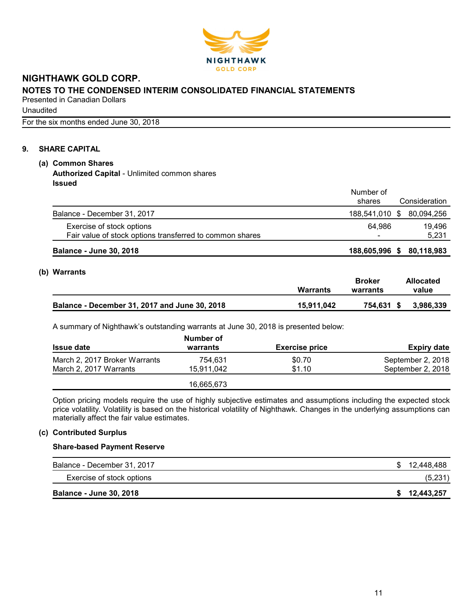

Unaudited

For the six months ended June 30, 2018

# 9. SHARE CAPITAL

# (a) Common Shares

Authorized Capital - Unlimited common shares Issued

|                                                          | Number of<br>shares       | Consideration |
|----------------------------------------------------------|---------------------------|---------------|
| Balance - December 31, 2017                              | 188,541,010 \$ 80,094,256 |               |
| Exercise of stock options                                | 64.986                    | 19.496        |
| Fair value of stock options transferred to common shares |                           | 5,231         |
| <b>Balance - June 30, 2018</b>                           | 188,605,996 \$            | 80,118,983    |

# (b) Warrants

|                                               | <b>Warrants</b> | Broker<br>warrants | <b>Allocated</b><br>value |
|-----------------------------------------------|-----------------|--------------------|---------------------------|
| Balance - December 31, 2017 and June 30, 2018 | 15.911.042      | 754.631 \$         | 3,986,339                 |

A summary of Nighthawk's outstanding warrants at June 30, 2018 is presented below:

|                               | Number of  |                       |                    |
|-------------------------------|------------|-----------------------|--------------------|
| <b>Issue date</b>             | warrants   | <b>Exercise price</b> | <b>Expiry date</b> |
| March 2, 2017 Broker Warrants | 754.631    | \$0.70                | September 2, 2018  |
| March 2, 2017 Warrants        | 15.911.042 | \$1.10                | September 2, 2018  |
|                               | 16.665.673 |                       |                    |

Option pricing models require the use of highly subjective estimates and assumptions including the expected stock price volatility. Volatility is based on the historical volatility of Nighthawk. Changes in the underlying assumptions can materially affect the fair value estimates.

## (c) Contributed Surplus

#### Share-based Payment Reserve

| Balance - December 31, 2017    | \$12,448,488 |
|--------------------------------|--------------|
| Exercise of stock options      | (5,231)      |
| <b>Balance - June 30, 2018</b> | \$12,443,257 |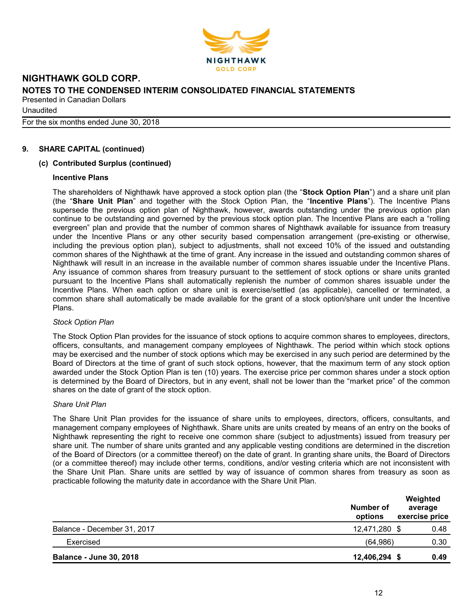

**Unaudited** 

For the six months ended June 30, 2018

# 9. SHARE CAPITAL (continued)

#### (c) Contributed Surplus (continued)

#### Incentive Plans

The shareholders of Nighthawk have approved a stock option plan (the "Stock Option Plan") and a share unit plan (the "Share Unit Plan" and together with the Stock Option Plan, the "Incentive Plans"). The Incentive Plans supersede the previous option plan of Nighthawk, however, awards outstanding under the previous option plan continue to be outstanding and governed by the previous stock option plan. The Incentive Plans are each a "rolling evergreen" plan and provide that the number of common shares of Nighthawk available for issuance from treasury under the Incentive Plans or any other security based compensation arrangement (pre-existing or otherwise, including the previous option plan), subject to adjustments, shall not exceed 10% of the issued and outstanding common shares of the Nighthawk at the time of grant. Any increase in the issued and outstanding common shares of Nighthawk will result in an increase in the available number of common shares issuable under the Incentive Plans. Any issuance of common shares from treasury pursuant to the settlement of stock options or share units granted pursuant to the Incentive Plans shall automatically replenish the number of common shares issuable under the Incentive Plans. When each option or share unit is exercise/settled (as applicable), cancelled or terminated, a common share shall automatically be made available for the grant of a stock option/share unit under the Incentive Plans.

#### Stock Option Plan

The Stock Option Plan provides for the issuance of stock options to acquire common shares to employees, directors, officers, consultants, and management company employees of Nighthawk. The period within which stock options may be exercised and the number of stock options which may be exercised in any such period are determined by the Board of Directors at the time of grant of such stock options, however, that the maximum term of any stock option awarded under the Stock Option Plan is ten (10) years. The exercise price per common shares under a stock option is determined by the Board of Directors, but in any event, shall not be lower than the "market price" of the common shares on the date of grant of the stock option.

#### Share Unit Plan

The Share Unit Plan provides for the issuance of share units to employees, directors, officers, consultants, and management company employees of Nighthawk. Share units are units created by means of an entry on the books of Nighthawk representing the right to receive one common share (subject to adjustments) issued from treasury per share unit. The number of share units granted and any applicable vesting conditions are determined in the discretion of the Board of Directors (or a committee thereof) on the date of grant. In granting share units, the Board of Directors (or a committee thereof) may include other terms, conditions, and/or vesting criteria which are not inconsistent with the Share Unit Plan. Share units are settled by way of issuance of common shares from treasury as soon as practicable following the maturity date in accordance with the Share Unit Plan.

|                                | Number of<br>options | Weighted<br>average<br>exercise price |
|--------------------------------|----------------------|---------------------------------------|
| Balance - December 31, 2017    | 12,471,280 \$        | 0.48                                  |
| Exercised                      | (64, 986)            | 0.30                                  |
| <b>Balance - June 30, 2018</b> | 12,406,294 \$        | 0.49                                  |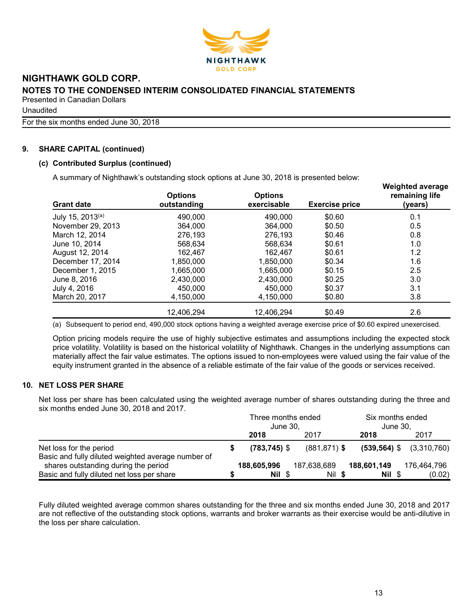

Unaudited

For the six months ended June 30, 2018

# 9. SHARE CAPITAL (continued)

# (c) Contributed Surplus (continued)

A summary of Nighthawk's outstanding stock options at June 30, 2018 is presented below:

| <b>Grant date</b> | <b>Options</b><br>outstanding | <b>Options</b><br>exercisable | <b>Exercise price</b> | <b>Weighted average</b><br>remaining life<br>(years) |
|-------------------|-------------------------------|-------------------------------|-----------------------|------------------------------------------------------|
| July 15, 2013(a)  | 490,000                       | 490,000                       | \$0.60                | 0.1                                                  |
| November 29, 2013 | 364,000                       | 364,000                       | \$0.50                | 0.5                                                  |
| March 12, 2014    | 276,193                       | 276,193                       | \$0.46                | 0.8                                                  |
| June 10, 2014     | 568,634                       | 568,634                       | \$0.61                | 1.0                                                  |
| August 12, 2014   | 162,467                       | 162,467                       | \$0.61                | 1.2                                                  |
| December 17, 2014 | 1,850,000                     | 1,850,000                     | \$0.34                | 1.6                                                  |
| December 1, 2015  | 1,665,000                     | 1,665,000                     | \$0.15                | 2.5                                                  |
| June 8, 2016      | 2,430,000                     | 2,430,000                     | \$0.25                | 3.0                                                  |
| July 4, 2016      | 450,000                       | 450,000                       | \$0.37                | 3.1                                                  |
| March 20, 2017    | 4,150,000                     | 4,150,000                     | \$0.80                | 3.8                                                  |
|                   | 12,406,294                    | 12,406,294                    | \$0.49                | 2.6                                                  |

(a) Subsequent to period end, 490,000 stock options having a weighted average exercise price of \$0.60 expired unexercised.

Option pricing models require the use of highly subjective estimates and assumptions including the expected stock price volatility. Volatility is based on the historical volatility of Nighthawk. Changes in the underlying assumptions can materially affect the fair value estimates. The options issued to non-employees were valued using the fair value of the equity instrument granted in the absence of a reliable estimate of the fair value of the goods or services received.

# 10. NET LOSS PER SHARE

Net loss per share has been calculated using the weighted average number of shares outstanding during the three and six months ended June 30, 2018 and 2017.

|                                                                                            | Three months ended<br>June 30. |                 |  | Six months ended<br>June 30. |  |             |  |                              |
|--------------------------------------------------------------------------------------------|--------------------------------|-----------------|--|------------------------------|--|-------------|--|------------------------------|
|                                                                                            |                                | 2018            |  | 2017                         |  | 2018        |  | 2017                         |
| Net loss for the period                                                                    |                                | $(783, 745)$ \$ |  | $(881, 871)$ \$              |  |             |  | $(539,564)$ \$ $(3,310,760)$ |
| Basic and fully diluted weighted average number of<br>shares outstanding during the period |                                | 188,605,996     |  | 187,638,689                  |  | 188,601,149 |  | 176,464,796                  |
| Basic and fully diluted net loss per share                                                 |                                | Nil \$          |  | Nil \$                       |  | Nil \$      |  | (0.02)                       |

Fully diluted weighted average common shares outstanding for the three and six months ended June 30, 2018 and 2017 are not reflective of the outstanding stock options, warrants and broker warrants as their exercise would be anti-dilutive in the loss per share calculation.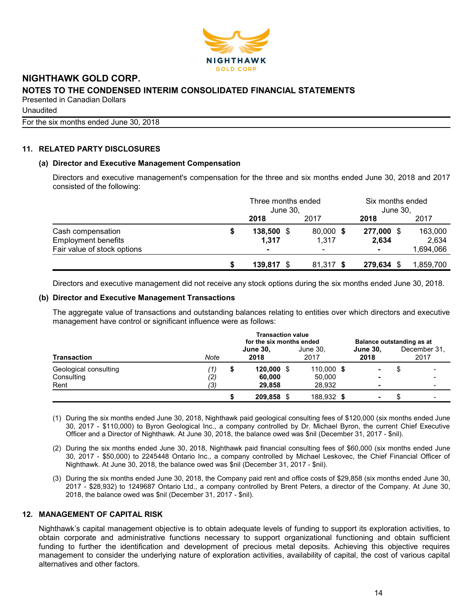

**Unaudited** 

For the six months ended June 30, 2018

# 11. RELATED PARTY DISCLOSURES

#### (a) Director and Executive Management Compensation

Directors and executive management's compensation for the three and six months ended June 30, 2018 and 2017 consisted of the following:

|                                                 |   | Three months ended<br>June 30, |                    | Six months ended<br>June 30, |                  |
|-------------------------------------------------|---|--------------------------------|--------------------|------------------------------|------------------|
|                                                 |   | 2018                           | 2017               | 2018                         | 2017             |
| Cash compensation<br><b>Employment benefits</b> | 5 | 138,500<br>- \$<br>1,317       | 80,000 \$<br>1,317 | 277,000 \$<br>2,634          | 163,000<br>2,634 |
| Fair value of stock options                     |   | $\blacksquare$                 | -                  | $\blacksquare$               | 1,694,066        |
|                                                 |   | $139,817$ \$                   | 81,317 \$          | 279,634                      | 1,859,700        |

Directors and executive management did not receive any stock options during the six months ended June 30, 2018.

#### (b) Director and Executive Management Transactions

The aggregate value of transactions and outstanding balances relating to entities over which directors and executive management have control or significant influence were as follows:

|                                             |                   | <b>Transaction value</b><br>for the six months ended |                                  |  |                                |  |                                            | Balance outstanding as at |                      |  |  |
|---------------------------------------------|-------------------|------------------------------------------------------|----------------------------------|--|--------------------------------|--|--------------------------------------------|---------------------------|----------------------|--|--|
| <b>Transaction</b>                          | Note              |                                                      | <b>June 30,</b><br>2018          |  | June 30.<br>2017               |  | <b>June 30.</b><br>2018                    |                           | December 31.<br>2017 |  |  |
| Geological consulting<br>Consulting<br>Rent | (1)<br>(2)<br>(3) | S                                                    | $120,000$ \$<br>60,000<br>29,858 |  | 110,000 \$<br>50,000<br>28.932 |  | ۰                                          |                           |                      |  |  |
|                                             |                   |                                                      | 209,858 \$                       |  | 188,932 \$                     |  | $\overline{\phantom{0}}$<br>$\blacksquare$ |                           |                      |  |  |

- (1) During the six months ended June 30, 2018, Nighthawk paid geological consulting fees of \$120,000 (six months ended June 30, 2017 - \$110,000) to Byron Geological Inc., a company controlled by Dr. Michael Byron, the current Chief Executive Officer and a Director of Nighthawk. At June 30, 2018, the balance owed was \$nil (December 31, 2017 - \$nil).
- (2) During the six months ended June 30, 2018, Nighthawk paid financial consulting fees of \$60,000 (six months ended June 30, 2017 - \$50,000) to 2245448 Ontario Inc., a company controlled by Michael Leskovec, the Chief Financial Officer of Nighthawk. At June 30, 2018, the balance owed was \$nil (December 31, 2017 - \$nil).
- (3) During the six months ended June 30, 2018, the Company paid rent and office costs of \$29,858 (six months ended June 30, 2017 - \$28,932) to 1249687 Ontario Ltd., a company controlled by Brent Peters, a director of the Company. At June 30, 2018, the balance owed was \$nil (December 31, 2017 - \$nil).

# 12. MANAGEMENT OF CAPITAL RISK

Nighthawk's capital management objective is to obtain adequate levels of funding to support its exploration activities, to obtain corporate and administrative functions necessary to support organizational functioning and obtain sufficient funding to further the identification and development of precious metal deposits. Achieving this objective requires management to consider the underlying nature of exploration activities, availability of capital, the cost of various capital alternatives and other factors.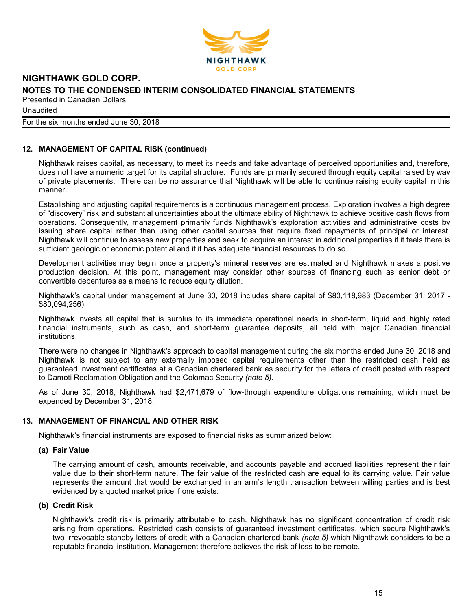

**Unaudited** 

For the six months ended June 30, 2018

# 12. MANAGEMENT OF CAPITAL RISK (continued)

Nighthawk raises capital, as necessary, to meet its needs and take advantage of perceived opportunities and, therefore, does not have a numeric target for its capital structure. Funds are primarily secured through equity capital raised by way of private placements. There can be no assurance that Nighthawk will be able to continue raising equity capital in this manner.

Establishing and adjusting capital requirements is a continuous management process. Exploration involves a high degree of "discovery" risk and substantial uncertainties about the ultimate ability of Nighthawk to achieve positive cash flows from operations. Consequently, management primarily funds Nighthawk's exploration activities and administrative costs by issuing share capital rather than using other capital sources that require fixed repayments of principal or interest. Nighthawk will continue to assess new properties and seek to acquire an interest in additional properties if it feels there is sufficient geologic or economic potential and if it has adequate financial resources to do so.

Development activities may begin once a property's mineral reserves are estimated and Nighthawk makes a positive production decision. At this point, management may consider other sources of financing such as senior debt or convertible debentures as a means to reduce equity dilution.

Nighthawk's capital under management at June 30, 2018 includes share capital of \$80,118,983 (December 31, 2017 - \$80,094,256).

Nighthawk invests all capital that is surplus to its immediate operational needs in short-term, liquid and highly rated financial instruments, such as cash, and short-term guarantee deposits, all held with major Canadian financial institutions.

There were no changes in Nighthawk's approach to capital management during the six months ended June 30, 2018 and Nighthawk is not subject to any externally imposed capital requirements other than the restricted cash held as guaranteed investment certificates at a Canadian chartered bank as security for the letters of credit posted with respect to Damoti Reclamation Obligation and the Colomac Security (note 5).

As of June 30, 2018, Nighthawk had \$2,471,679 of flow-through expenditure obligations remaining, which must be expended by December 31, 2018.

#### 13. MANAGEMENT OF FINANCIAL AND OTHER RISK

Nighthawk's financial instruments are exposed to financial risks as summarized below:

#### (a) Fair Value

The carrying amount of cash, amounts receivable, and accounts payable and accrued liabilities represent their fair value due to their short-term nature. The fair value of the restricted cash are equal to its carrying value. Fair value represents the amount that would be exchanged in an arm's length transaction between willing parties and is best evidenced by a quoted market price if one exists.

#### (b) Credit Risk

Nighthawk's credit risk is primarily attributable to cash. Nighthawk has no significant concentration of credit risk arising from operations. Restricted cash consists of guaranteed investment certificates, which secure Nighthawk's two irrevocable standby letters of credit with a Canadian chartered bank (note 5) which Nighthawk considers to be a reputable financial institution. Management therefore believes the risk of loss to be remote.